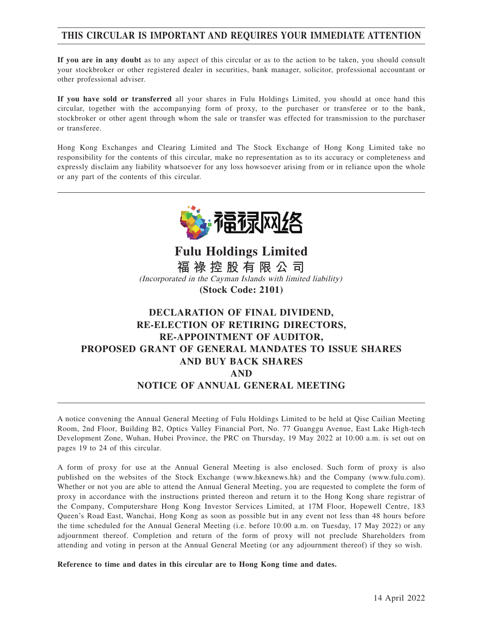# **THIS CIRCULAR IS IMPORTANT AND REQUIRES YOUR IMMEDIATE ATTENTION**

**If you are in any doubt** as to any aspect of this circular or as to the action to be taken, you should consult your stockbroker or other registered dealer in securities, bank manager, solicitor, professional accountant or other professional adviser.

**If you have sold or transferred** all your shares in Fulu Holdings Limited, you should at once hand this circular, together with the accompanying form of proxy, to the purchaser or transferee or to the bank, stockbroker or other agent through whom the sale or transfer was effected for transmission to the purchaser or transferee.

Hong Kong Exchanges and Clearing Limited and The Stock Exchange of Hong Kong Limited take no responsibility for the contents of this circular, make no representation as to its accuracy or completeness and expressly disclaim any liability whatsoever for any loss howsoever arising from or in reliance upon the whole or any part of the contents of this circular.



**Fulu Holdings Limited 福 祿 控 股 有 限 公 司** (Incorporated in the Cayman Islands with limited liability) **(Stock Code: 2101)**

# **DECLARATION OF FINAL DIVIDEND, RE-ELECTION OF RETIRING DIRECTORS, RE-APPOINTMENT OF AUDITOR, PROPOSED GRANT OF GENERAL MANDATES TO ISSUE SHARES AND BUY BACK SHARES AND NOTICE OF ANNUAL GENERAL MEETING**

A notice convening the Annual General Meeting of Fulu Holdings Limited to be held at Qise Cailian Meeting Room, 2nd Floor, Building B2, Optics Valley Financial Port, No. 77 Guanggu Avenue, East Lake High-tech Development Zone, Wuhan, Hubei Province, the PRC on Thursday, 19 May 2022 at 10:00 a.m. is set out on pages 19 to 24 of this circular.

A form of proxy for use at the Annual General Meeting is also enclosed. Such form of proxy is also published on the websites of the Stock Exchange (www.hkexnews.hk) and the Company (www.fulu.com). Whether or not you are able to attend the Annual General Meeting, you are requested to complete the form of proxy in accordance with the instructions printed thereon and return it to the Hong Kong share registrar of the Company, Computershare Hong Kong Investor Services Limited, at 17M Floor, Hopewell Centre, 183 Queen's Road East, Wanchai, Hong Kong as soon as possible but in any event not less than 48 hours before the time scheduled for the Annual General Meeting (i.e. before 10:00 a.m. on Tuesday, 17 May 2022) or any adjournment thereof. Completion and return of the form of proxy will not preclude Shareholders from attending and voting in person at the Annual General Meeting (or any adjournment thereof) if they so wish.

**Reference to time and dates in this circular are to Hong Kong time and dates.**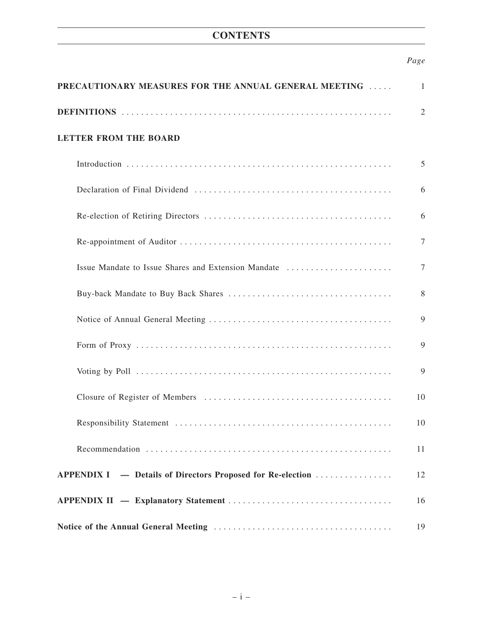# **CONTENTS**

# *Page*

| PRECAUTIONARY MEASURES FOR THE ANNUAL GENERAL MEETING<br>1 |        |  |
|------------------------------------------------------------|--------|--|
|                                                            | 2      |  |
| <b>LETTER FROM THE BOARD</b>                               |        |  |
|                                                            | 5      |  |
|                                                            | 6      |  |
|                                                            | 6      |  |
|                                                            | 7      |  |
| Issue Mandate to Issue Shares and Extension Mandate        | $\tau$ |  |
|                                                            | 8      |  |
|                                                            | 9      |  |
|                                                            | 9      |  |
|                                                            | 9      |  |
|                                                            | 10     |  |
|                                                            | 10     |  |
|                                                            | 11     |  |
| APPENDIX I - Details of Directors Proposed for Re-election | 12     |  |
|                                                            | 16     |  |
|                                                            | 19     |  |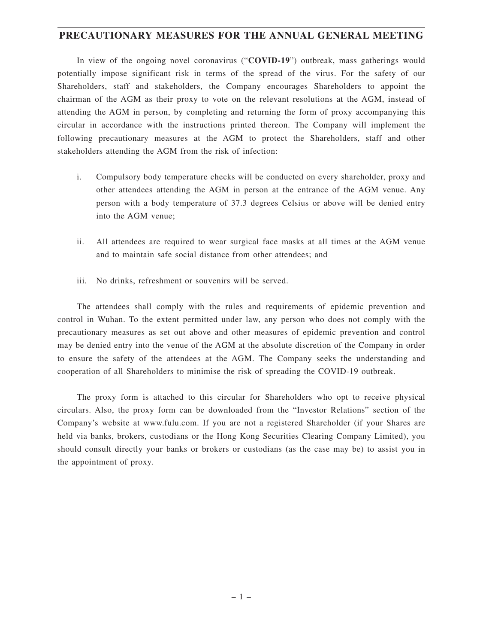# **PRECAUTIONARY MEASURES FOR THE ANNUAL GENERAL MEETING**

In view of the ongoing novel coronavirus ("**COVID-19**") outbreak, mass gatherings would potentially impose significant risk in terms of the spread of the virus. For the safety of our Shareholders, staff and stakeholders, the Company encourages Shareholders to appoint the chairman of the AGM as their proxy to vote on the relevant resolutions at the AGM, instead of attending the AGM in person, by completing and returning the form of proxy accompanying this circular in accordance with the instructions printed thereon. The Company will implement the following precautionary measures at the AGM to protect the Shareholders, staff and other stakeholders attending the AGM from the risk of infection:

- i. Compulsory body temperature checks will be conducted on every shareholder, proxy and other attendees attending the AGM in person at the entrance of the AGM venue. Any person with a body temperature of 37.3 degrees Celsius or above will be denied entry into the AGM venue;
- ii. All attendees are required to wear surgical face masks at all times at the AGM venue and to maintain safe social distance from other attendees; and
- iii. No drinks, refreshment or souvenirs will be served.

The attendees shall comply with the rules and requirements of epidemic prevention and control in Wuhan. To the extent permitted under law, any person who does not comply with the precautionary measures as set out above and other measures of epidemic prevention and control may be denied entry into the venue of the AGM at the absolute discretion of the Company in order to ensure the safety of the attendees at the AGM. The Company seeks the understanding and cooperation of all Shareholders to minimise the risk of spreading the COVID-19 outbreak.

The proxy form is attached to this circular for Shareholders who opt to receive physical circulars. Also, the proxy form can be downloaded from the "Investor Relations" section of the Company's website at www.fulu.com. If you are not a registered Shareholder (if your Shares are held via banks, brokers, custodians or the Hong Kong Securities Clearing Company Limited), you should consult directly your banks or brokers or custodians (as the case may be) to assist you in the appointment of proxy.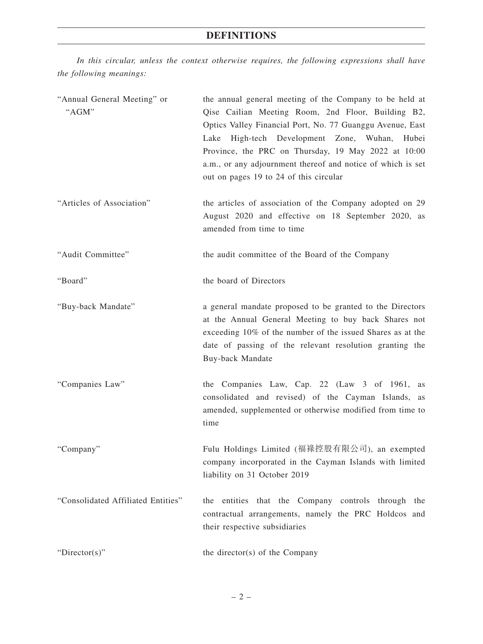*In this circular, unless the context otherwise requires, the following expressions shall have the following meanings:*

| "Annual General Meeting" or<br>"AGM" | the annual general meeting of the Company to be held at<br>Qise Cailian Meeting Room, 2nd Floor, Building B2,<br>Optics Valley Financial Port, No. 77 Guanggu Avenue, East<br>Lake High-tech Development Zone, Wuhan,<br>Hubei<br>Province, the PRC on Thursday, 19 May 2022 at 10:00<br>a.m., or any adjournment thereof and notice of which is set<br>out on pages 19 to 24 of this circular |
|--------------------------------------|------------------------------------------------------------------------------------------------------------------------------------------------------------------------------------------------------------------------------------------------------------------------------------------------------------------------------------------------------------------------------------------------|
| "Articles of Association"            | the articles of association of the Company adopted on 29<br>August 2020 and effective on 18 September 2020, as<br>amended from time to time                                                                                                                                                                                                                                                    |
| "Audit Committee"                    | the audit committee of the Board of the Company                                                                                                                                                                                                                                                                                                                                                |
| "Board"                              | the board of Directors                                                                                                                                                                                                                                                                                                                                                                         |
| "Buy-back Mandate"                   | a general mandate proposed to be granted to the Directors<br>at the Annual General Meeting to buy back Shares not<br>exceeding 10% of the number of the issued Shares as at the<br>date of passing of the relevant resolution granting the<br>Buy-back Mandate                                                                                                                                 |
| "Companies Law"                      | the Companies Law, Cap. 22 (Law 3 of 1961, as<br>consolidated and revised) of the Cayman Islands, as<br>amended, supplemented or otherwise modified from time to<br>time                                                                                                                                                                                                                       |
| "Company"                            | Fulu Holdings Limited (福祿控股有限公司), an exempted<br>company incorporated in the Cayman Islands with limited<br>liability on 31 October 2019                                                                                                                                                                                                                                                       |
| "Consolidated Affiliated Entities"   | entities that the Company controls through the<br>the<br>contractual arrangements, namely the PRC Holdcos and<br>their respective subsidiaries                                                                                                                                                                                                                                                 |
| "Director(s)"                        | the director(s) of the Company                                                                                                                                                                                                                                                                                                                                                                 |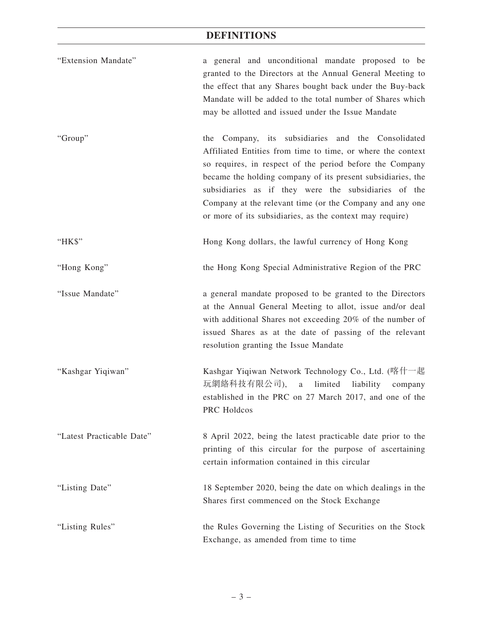# **DEFINITIONS**

| "Extension Mandate"       | a general and unconditional mandate proposed to be<br>granted to the Directors at the Annual General Meeting to<br>the effect that any Shares bought back under the Buy-back<br>Mandate will be added to the total number of Shares which<br>may be allotted and issued under the Issue Mandate                                                                                                                              |
|---------------------------|------------------------------------------------------------------------------------------------------------------------------------------------------------------------------------------------------------------------------------------------------------------------------------------------------------------------------------------------------------------------------------------------------------------------------|
| "Group"                   | the Company, its subsidiaries and the Consolidated<br>Affiliated Entities from time to time, or where the context<br>so requires, in respect of the period before the Company<br>became the holding company of its present subsidiaries, the<br>subsidiaries as if they were the subsidiaries of the<br>Company at the relevant time (or the Company and any one<br>or more of its subsidiaries, as the context may require) |
| " $HKS$ "                 | Hong Kong dollars, the lawful currency of Hong Kong                                                                                                                                                                                                                                                                                                                                                                          |
| "Hong Kong"               | the Hong Kong Special Administrative Region of the PRC                                                                                                                                                                                                                                                                                                                                                                       |
| "Issue Mandate"           | a general mandate proposed to be granted to the Directors<br>at the Annual General Meeting to allot, issue and/or deal<br>with additional Shares not exceeding 20% of the number of<br>issued Shares as at the date of passing of the relevant<br>resolution granting the Issue Mandate                                                                                                                                      |
| "Kashgar Yiqiwan"         | Kashgar Yiqiwan Network Technology Co., Ltd. (喀什一起<br>玩網絡科技有限公司),<br>limited<br>liability<br>$\rm{a}$<br>company<br>established in the PRC on 27 March 2017, and one of the<br>PRC Holdcos                                                                                                                                                                                                                                   |
| "Latest Practicable Date" | 8 April 2022, being the latest practicable date prior to the<br>printing of this circular for the purpose of ascertaining<br>certain information contained in this circular                                                                                                                                                                                                                                                  |
| "Listing Date"            | 18 September 2020, being the date on which dealings in the<br>Shares first commenced on the Stock Exchange                                                                                                                                                                                                                                                                                                                   |
| "Listing Rules"           | the Rules Governing the Listing of Securities on the Stock<br>Exchange, as amended from time to time                                                                                                                                                                                                                                                                                                                         |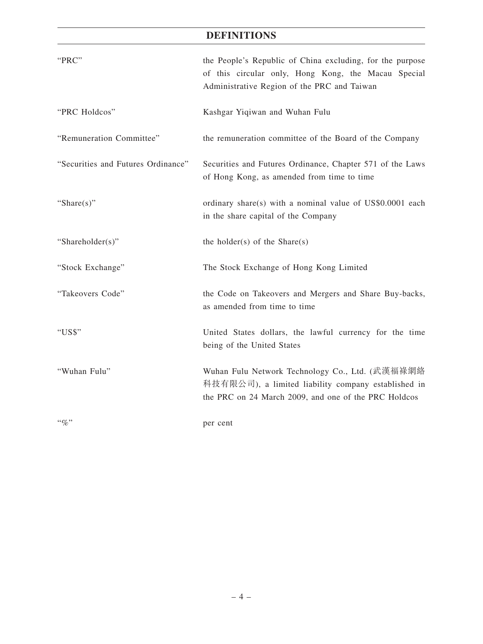# **DEFINITIONS**

| "PRC"                              | the People's Republic of China excluding, for the purpose<br>of this circular only, Hong Kong, the Macau Special<br>Administrative Region of the PRC and Taiwan |
|------------------------------------|-----------------------------------------------------------------------------------------------------------------------------------------------------------------|
| "PRC Holdcos"                      | Kashgar Yiqiwan and Wuhan Fulu                                                                                                                                  |
| "Remuneration Committee"           | the remuneration committee of the Board of the Company                                                                                                          |
| "Securities and Futures Ordinance" | Securities and Futures Ordinance, Chapter 571 of the Laws<br>of Hong Kong, as amended from time to time                                                         |
| "Share $(s)$ "                     | ordinary share(s) with a nominal value of US\$0.0001 each<br>in the share capital of the Company                                                                |
| "Shareholder(s)"                   | the holder(s) of the $Share(s)$                                                                                                                                 |
| "Stock Exchange"                   | The Stock Exchange of Hong Kong Limited                                                                                                                         |
| "Takeovers Code"                   | the Code on Takeovers and Mergers and Share Buy-backs,<br>as amended from time to time                                                                          |
| "US\$"                             | United States dollars, the lawful currency for the time<br>being of the United States                                                                           |
| "Wuhan Fulu"                       | Wuhan Fulu Network Technology Co., Ltd. (武漢福祿網絡<br>科技有限公司), a limited liability company established in<br>the PRC on 24 March 2009, and one of the PRC Holdcos  |
| $\lq\lq q_0$ "                     | per cent                                                                                                                                                        |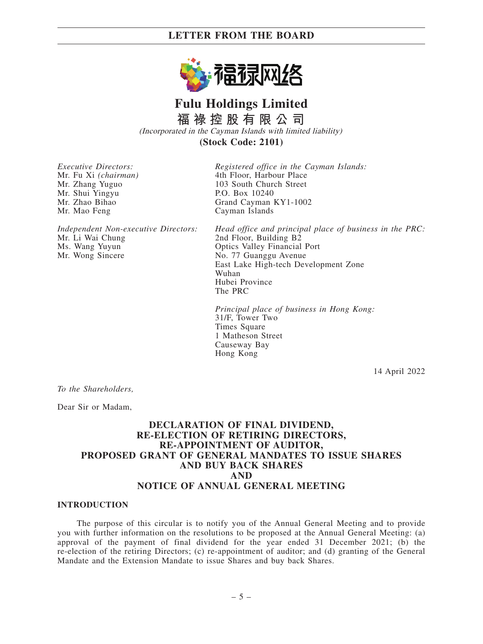

# **Fulu Holdings Limited 福 祿 控 股 有 限 公 司**

(Incorporated in the Cayman Islands with limited liability)

**(Stock Code: 2101)**

*Executive Directors:* Mr. Fu Xi *(chairman)* Mr. Zhang Yuguo Mr. Shui Yingyu Mr. Zhao Bihao Mr. Mao Feng

*Registered office in the Cayman Islands:* 4th Floor, Harbour Place 103 South Church Street P.O. Box 10240 Grand Cayman KY1-1002 Cayman Islands

*Independent Non-executive Directors:* Mr. Li Wai Chung Ms. Wang Yuyun Mr. Wong Sincere

*Head office and principal place of business in the PRC:* 2nd Floor, Building B2 Optics Valley Financial Port No. 77 Guanggu Avenue East Lake High-tech Development Zone Wuhan Hubei Province The PRC

*Principal place of business in Hong Kong:* 31/F, Tower Two Times Square 1 Matheson Street Causeway Bay Hong Kong

14 April 2022

*To the Shareholders,*

Dear Sir or Madam,

### **DECLARATION OF FINAL DIVIDEND, RE-ELECTION OF RETIRING DIRECTORS, RE-APPOINTMENT OF AUDITOR, PROPOSED GRANT OF GENERAL MANDATES TO ISSUE SHARES AND BUY BACK SHARES AND NOTICE OF ANNUAL GENERAL MEETING**

#### **INTRODUCTION**

The purpose of this circular is to notify you of the Annual General Meeting and to provide you with further information on the resolutions to be proposed at the Annual General Meeting: (a) approval of the payment of final dividend for the year ended 31 December 2021; (b) the re-election of the retiring Directors; (c) re-appointment of auditor; and (d) granting of the General Mandate and the Extension Mandate to issue Shares and buy back Shares.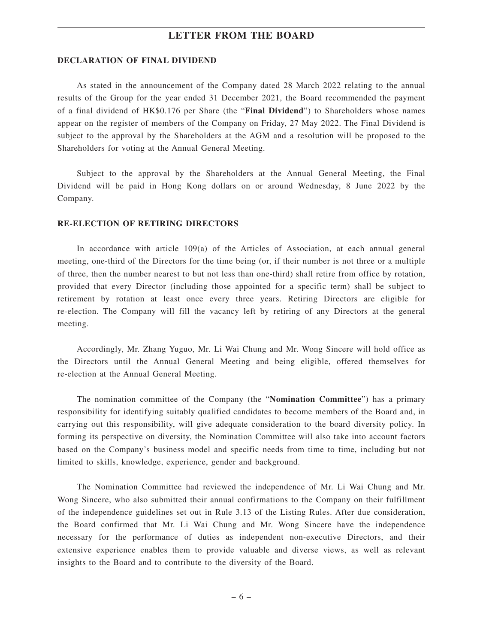#### **DECLARATION OF FINAL DIVIDEND**

As stated in the announcement of the Company dated 28 March 2022 relating to the annual results of the Group for the year ended 31 December 2021, the Board recommended the payment of a final dividend of HK\$0.176 per Share (the "**Final Dividend**") to Shareholders whose names appear on the register of members of the Company on Friday, 27 May 2022. The Final Dividend is subject to the approval by the Shareholders at the AGM and a resolution will be proposed to the Shareholders for voting at the Annual General Meeting.

Subject to the approval by the Shareholders at the Annual General Meeting, the Final Dividend will be paid in Hong Kong dollars on or around Wednesday, 8 June 2022 by the Company.

#### **RE-ELECTION OF RETIRING DIRECTORS**

In accordance with article 109(a) of the Articles of Association, at each annual general meeting, one-third of the Directors for the time being (or, if their number is not three or a multiple of three, then the number nearest to but not less than one-third) shall retire from office by rotation, provided that every Director (including those appointed for a specific term) shall be subject to retirement by rotation at least once every three years. Retiring Directors are eligible for re-election. The Company will fill the vacancy left by retiring of any Directors at the general meeting.

Accordingly, Mr. Zhang Yuguo, Mr. Li Wai Chung and Mr. Wong Sincere will hold office as the Directors until the Annual General Meeting and being eligible, offered themselves for re-election at the Annual General Meeting.

The nomination committee of the Company (the "**Nomination Committee**") has a primary responsibility for identifying suitably qualified candidates to become members of the Board and, in carrying out this responsibility, will give adequate consideration to the board diversity policy. In forming its perspective on diversity, the Nomination Committee will also take into account factors based on the Company's business model and specific needs from time to time, including but not limited to skills, knowledge, experience, gender and background.

The Nomination Committee had reviewed the independence of Mr. Li Wai Chung and Mr. Wong Sincere, who also submitted their annual confirmations to the Company on their fulfillment of the independence guidelines set out in Rule 3.13 of the Listing Rules. After due consideration, the Board confirmed that Mr. Li Wai Chung and Mr. Wong Sincere have the independence necessary for the performance of duties as independent non-executive Directors, and their extensive experience enables them to provide valuable and diverse views, as well as relevant insights to the Board and to contribute to the diversity of the Board.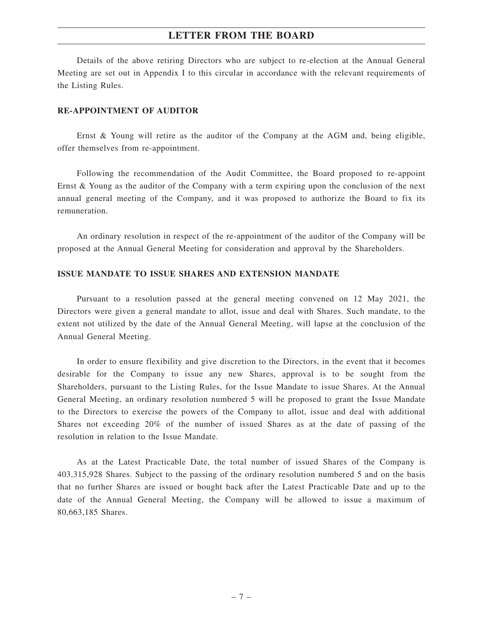Details of the above retiring Directors who are subject to re-election at the Annual General Meeting are set out in Appendix I to this circular in accordance with the relevant requirements of the Listing Rules.

#### **RE-APPOINTMENT OF AUDITOR**

Ernst & Young will retire as the auditor of the Company at the AGM and, being eligible, offer themselves from re-appointment.

Following the recommendation of the Audit Committee, the Board proposed to re-appoint Ernst & Young as the auditor of the Company with a term expiring upon the conclusion of the next annual general meeting of the Company, and it was proposed to authorize the Board to fix its remuneration.

An ordinary resolution in respect of the re-appointment of the auditor of the Company will be proposed at the Annual General Meeting for consideration and approval by the Shareholders.

#### **ISSUE MANDATE TO ISSUE SHARES AND EXTENSION MANDATE**

Pursuant to a resolution passed at the general meeting convened on 12 May 2021, the Directors were given a general mandate to allot, issue and deal with Shares. Such mandate, to the extent not utilized by the date of the Annual General Meeting, will lapse at the conclusion of the Annual General Meeting.

In order to ensure flexibility and give discretion to the Directors, in the event that it becomes desirable for the Company to issue any new Shares, approval is to be sought from the Shareholders, pursuant to the Listing Rules, for the Issue Mandate to issue Shares. At the Annual General Meeting, an ordinary resolution numbered 5 will be proposed to grant the Issue Mandate to the Directors to exercise the powers of the Company to allot, issue and deal with additional Shares not exceeding 20% of the number of issued Shares as at the date of passing of the resolution in relation to the Issue Mandate.

As at the Latest Practicable Date, the total number of issued Shares of the Company is 403,315,928 Shares. Subject to the passing of the ordinary resolution numbered 5 and on the basis that no further Shares are issued or bought back after the Latest Practicable Date and up to the date of the Annual General Meeting, the Company will be allowed to issue a maximum of 80,663,185 Shares.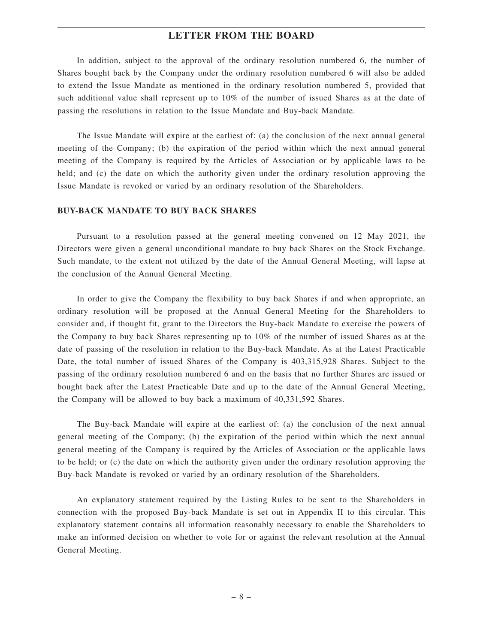In addition, subject to the approval of the ordinary resolution numbered 6, the number of Shares bought back by the Company under the ordinary resolution numbered 6 will also be added to extend the Issue Mandate as mentioned in the ordinary resolution numbered 5, provided that such additional value shall represent up to 10% of the number of issued Shares as at the date of passing the resolutions in relation to the Issue Mandate and Buy-back Mandate.

The Issue Mandate will expire at the earliest of: (a) the conclusion of the next annual general meeting of the Company; (b) the expiration of the period within which the next annual general meeting of the Company is required by the Articles of Association or by applicable laws to be held; and (c) the date on which the authority given under the ordinary resolution approving the Issue Mandate is revoked or varied by an ordinary resolution of the Shareholders.

#### **BUY-BACK MANDATE TO BUY BACK SHARES**

Pursuant to a resolution passed at the general meeting convened on 12 May 2021, the Directors were given a general unconditional mandate to buy back Shares on the Stock Exchange. Such mandate, to the extent not utilized by the date of the Annual General Meeting, will lapse at the conclusion of the Annual General Meeting.

In order to give the Company the flexibility to buy back Shares if and when appropriate, an ordinary resolution will be proposed at the Annual General Meeting for the Shareholders to consider and, if thought fit, grant to the Directors the Buy-back Mandate to exercise the powers of the Company to buy back Shares representing up to 10% of the number of issued Shares as at the date of passing of the resolution in relation to the Buy-back Mandate. As at the Latest Practicable Date, the total number of issued Shares of the Company is 403,315,928 Shares. Subject to the passing of the ordinary resolution numbered 6 and on the basis that no further Shares are issued or bought back after the Latest Practicable Date and up to the date of the Annual General Meeting, the Company will be allowed to buy back a maximum of 40,331,592 Shares.

The Buy-back Mandate will expire at the earliest of: (a) the conclusion of the next annual general meeting of the Company; (b) the expiration of the period within which the next annual general meeting of the Company is required by the Articles of Association or the applicable laws to be held; or (c) the date on which the authority given under the ordinary resolution approving the Buy-back Mandate is revoked or varied by an ordinary resolution of the Shareholders.

An explanatory statement required by the Listing Rules to be sent to the Shareholders in connection with the proposed Buy-back Mandate is set out in Appendix II to this circular. This explanatory statement contains all information reasonably necessary to enable the Shareholders to make an informed decision on whether to vote for or against the relevant resolution at the Annual General Meeting.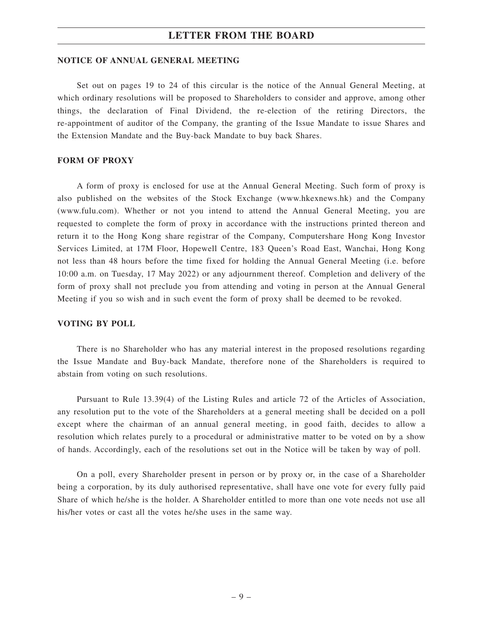#### **NOTICE OF ANNUAL GENERAL MEETING**

Set out on pages 19 to 24 of this circular is the notice of the Annual General Meeting, at which ordinary resolutions will be proposed to Shareholders to consider and approve, among other things, the declaration of Final Dividend, the re-election of the retiring Directors, the re-appointment of auditor of the Company, the granting of the Issue Mandate to issue Shares and the Extension Mandate and the Buy-back Mandate to buy back Shares.

#### **FORM OF PROXY**

A form of proxy is enclosed for use at the Annual General Meeting. Such form of proxy is also published on the websites of the Stock Exchange (www.hkexnews.hk) and the Company (www.fulu.com). Whether or not you intend to attend the Annual General Meeting, you are requested to complete the form of proxy in accordance with the instructions printed thereon and return it to the Hong Kong share registrar of the Company, Computershare Hong Kong Investor Services Limited, at 17M Floor, Hopewell Centre, 183 Queen's Road East, Wanchai, Hong Kong not less than 48 hours before the time fixed for holding the Annual General Meeting (i.e. before 10:00 a.m. on Tuesday, 17 May 2022) or any adjournment thereof. Completion and delivery of the form of proxy shall not preclude you from attending and voting in person at the Annual General Meeting if you so wish and in such event the form of proxy shall be deemed to be revoked.

#### **VOTING BY POLL**

There is no Shareholder who has any material interest in the proposed resolutions regarding the Issue Mandate and Buy-back Mandate, therefore none of the Shareholders is required to abstain from voting on such resolutions.

Pursuant to Rule 13.39(4) of the Listing Rules and article 72 of the Articles of Association, any resolution put to the vote of the Shareholders at a general meeting shall be decided on a poll except where the chairman of an annual general meeting, in good faith, decides to allow a resolution which relates purely to a procedural or administrative matter to be voted on by a show of hands. Accordingly, each of the resolutions set out in the Notice will be taken by way of poll.

On a poll, every Shareholder present in person or by proxy or, in the case of a Shareholder being a corporation, by its duly authorised representative, shall have one vote for every fully paid Share of which he/she is the holder. A Shareholder entitled to more than one vote needs not use all his/her votes or cast all the votes he/she uses in the same way.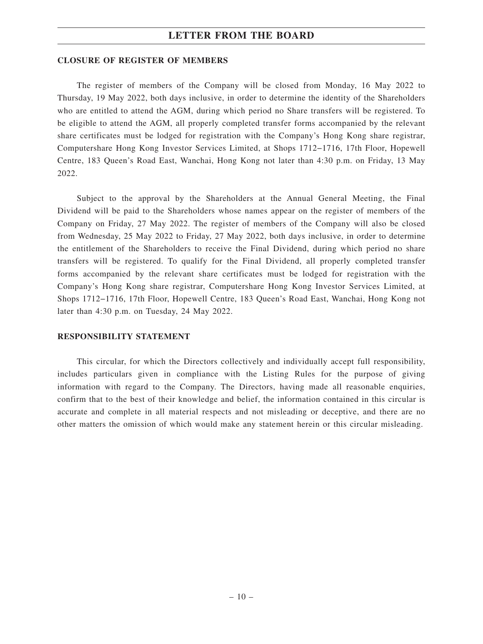#### **CLOSURE OF REGISTER OF MEMBERS**

The register of members of the Company will be closed from Monday, 16 May 2022 to Thursday, 19 May 2022, both days inclusive, in order to determine the identity of the Shareholders who are entitled to attend the AGM, during which period no Share transfers will be registered. To be eligible to attend the AGM, all properly completed transfer forms accompanied by the relevant share certificates must be lodged for registration with the Company's Hong Kong share registrar, Computershare Hong Kong Investor Services Limited, at Shops 1712−1716, 17th Floor, Hopewell Centre, 183 Queen's Road East, Wanchai, Hong Kong not later than 4:30 p.m. on Friday, 13 May 2022.

Subject to the approval by the Shareholders at the Annual General Meeting, the Final Dividend will be paid to the Shareholders whose names appear on the register of members of the Company on Friday, 27 May 2022. The register of members of the Company will also be closed from Wednesday, 25 May 2022 to Friday, 27 May 2022, both days inclusive, in order to determine the entitlement of the Shareholders to receive the Final Dividend, during which period no share transfers will be registered. To qualify for the Final Dividend, all properly completed transfer forms accompanied by the relevant share certificates must be lodged for registration with the Company's Hong Kong share registrar, Computershare Hong Kong Investor Services Limited, at Shops 1712−1716, 17th Floor, Hopewell Centre, 183 Queen's Road East, Wanchai, Hong Kong not later than 4:30 p.m. on Tuesday, 24 May 2022.

#### **RESPONSIBILITY STATEMENT**

This circular, for which the Directors collectively and individually accept full responsibility, includes particulars given in compliance with the Listing Rules for the purpose of giving information with regard to the Company. The Directors, having made all reasonable enquiries, confirm that to the best of their knowledge and belief, the information contained in this circular is accurate and complete in all material respects and not misleading or deceptive, and there are no other matters the omission of which would make any statement herein or this circular misleading.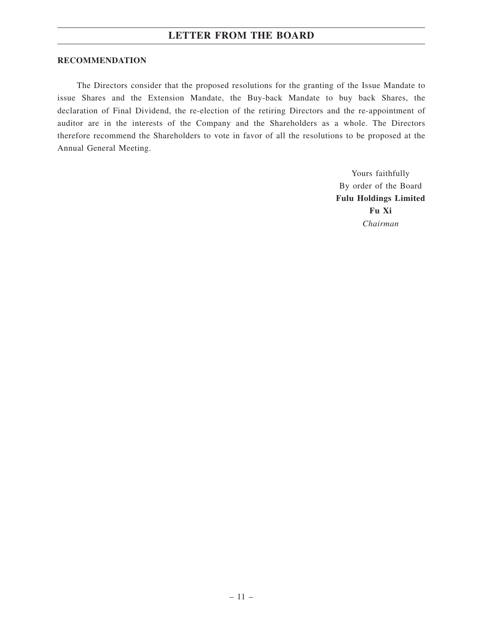#### **RECOMMENDATION**

The Directors consider that the proposed resolutions for the granting of the Issue Mandate to issue Shares and the Extension Mandate, the Buy-back Mandate to buy back Shares, the declaration of Final Dividend, the re-election of the retiring Directors and the re-appointment of auditor are in the interests of the Company and the Shareholders as a whole. The Directors therefore recommend the Shareholders to vote in favor of all the resolutions to be proposed at the Annual General Meeting.

> Yours faithfully By order of the Board **Fulu Holdings Limited Fu Xi** *Chairman*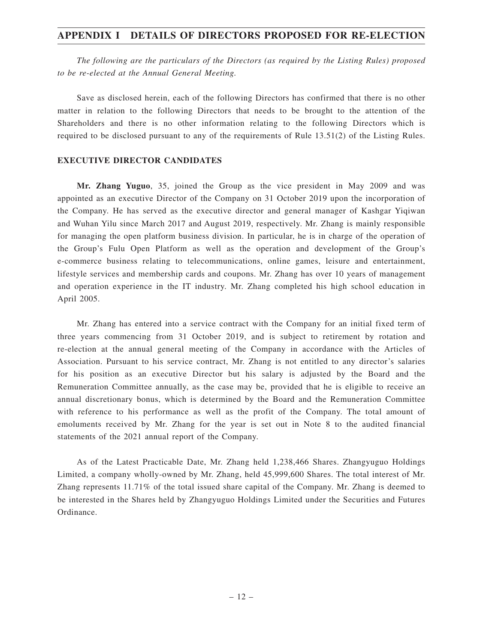*The following are the particulars of the Directors (as required by the Listing Rules) proposed to be re-elected at the Annual General Meeting.*

Save as disclosed herein, each of the following Directors has confirmed that there is no other matter in relation to the following Directors that needs to be brought to the attention of the Shareholders and there is no other information relating to the following Directors which is required to be disclosed pursuant to any of the requirements of Rule 13.51(2) of the Listing Rules.

#### **EXECUTIVE DIRECTOR CANDIDATES**

**Mr. Zhang Yuguo**, 35, joined the Group as the vice president in May 2009 and was appointed as an executive Director of the Company on 31 October 2019 upon the incorporation of the Company. He has served as the executive director and general manager of Kashgar Yiqiwan and Wuhan Yilu since March 2017 and August 2019, respectively. Mr. Zhang is mainly responsible for managing the open platform business division. In particular, he is in charge of the operation of the Group's Fulu Open Platform as well as the operation and development of the Group's e-commerce business relating to telecommunications, online games, leisure and entertainment, lifestyle services and membership cards and coupons. Mr. Zhang has over 10 years of management and operation experience in the IT industry. Mr. Zhang completed his high school education in April 2005.

Mr. Zhang has entered into a service contract with the Company for an initial fixed term of three years commencing from 31 October 2019, and is subject to retirement by rotation and re-election at the annual general meeting of the Company in accordance with the Articles of Association. Pursuant to his service contract, Mr. Zhang is not entitled to any director's salaries for his position as an executive Director but his salary is adjusted by the Board and the Remuneration Committee annually, as the case may be, provided that he is eligible to receive an annual discretionary bonus, which is determined by the Board and the Remuneration Committee with reference to his performance as well as the profit of the Company. The total amount of emoluments received by Mr. Zhang for the year is set out in Note 8 to the audited financial statements of the 2021 annual report of the Company.

As of the Latest Practicable Date, Mr. Zhang held 1,238,466 Shares. Zhangyuguo Holdings Limited, a company wholly-owned by Mr. Zhang, held 45,999,600 Shares. The total interest of Mr. Zhang represents 11.71% of the total issued share capital of the Company. Mr. Zhang is deemed to be interested in the Shares held by Zhangyuguo Holdings Limited under the Securities and Futures Ordinance.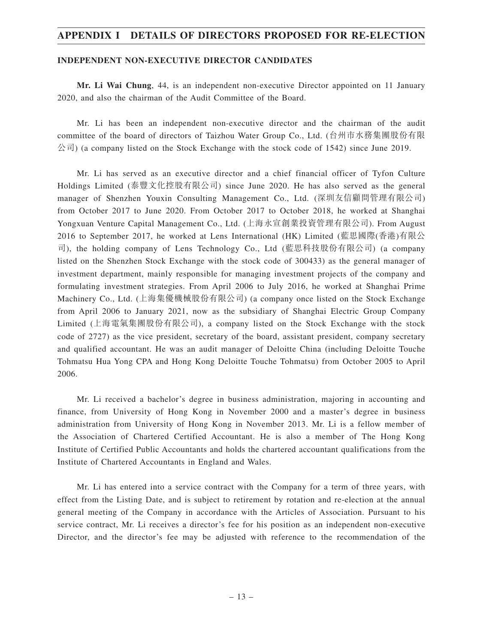#### **INDEPENDENT NON-EXECUTIVE DIRECTOR CANDIDATES**

**Mr. Li Wai Chung**, 44, is an independent non-executive Director appointed on 11 January 2020, and also the chairman of the Audit Committee of the Board.

Mr. Li has been an independent non-executive director and the chairman of the audit committee of the board of directors of Taizhou Water Group Co., Ltd. (台州市水務集團股份有限  $\Diamond$ 司) (a company listed on the Stock Exchange with the stock code of 1542) since June 2019.

Mr. Li has served as an executive director and a chief financial officer of Tyfon Culture Holdings Limited (泰豐文化控股有限公司) since June 2020. He has also served as the general manager of Shenzhen Youxin Consulting Management Co., Ltd. (深圳友信顧問管理有限公司) from October 2017 to June 2020. From October 2017 to October 2018, he worked at Shanghai Yongxuan Venture Capital Management Co., Ltd. (上海永宣創業投資管理有限公司). From August 2016 to September 2017, he worked at Lens International (HK) Limited (藍思國際(香港)有限公 司), the holding company of Lens Technology Co., Ltd (藍思科技股份有限公司) (a company listed on the Shenzhen Stock Exchange with the stock code of 300433) as the general manager of investment department, mainly responsible for managing investment projects of the company and formulating investment strategies. From April 2006 to July 2016, he worked at Shanghai Prime Machinery Co., Ltd. (上海集優機械股份有限公司) (a company once listed on the Stock Exchange from April 2006 to January 2021, now as the subsidiary of Shanghai Electric Group Company Limited (上海電氣集團股份有限公司), a company listed on the Stock Exchange with the stock code of 2727) as the vice president, secretary of the board, assistant president, company secretary and qualified accountant. He was an audit manager of Deloitte China (including Deloitte Touche Tohmatsu Hua Yong CPA and Hong Kong Deloitte Touche Tohmatsu) from October 2005 to April 2006.

Mr. Li received a bachelor's degree in business administration, majoring in accounting and finance, from University of Hong Kong in November 2000 and a master's degree in business administration from University of Hong Kong in November 2013. Mr. Li is a fellow member of the Association of Chartered Certified Accountant. He is also a member of The Hong Kong Institute of Certified Public Accountants and holds the chartered accountant qualifications from the Institute of Chartered Accountants in England and Wales.

Mr. Li has entered into a service contract with the Company for a term of three years, with effect from the Listing Date, and is subject to retirement by rotation and re-election at the annual general meeting of the Company in accordance with the Articles of Association. Pursuant to his service contract, Mr. Li receives a director's fee for his position as an independent non-executive Director, and the director's fee may be adjusted with reference to the recommendation of the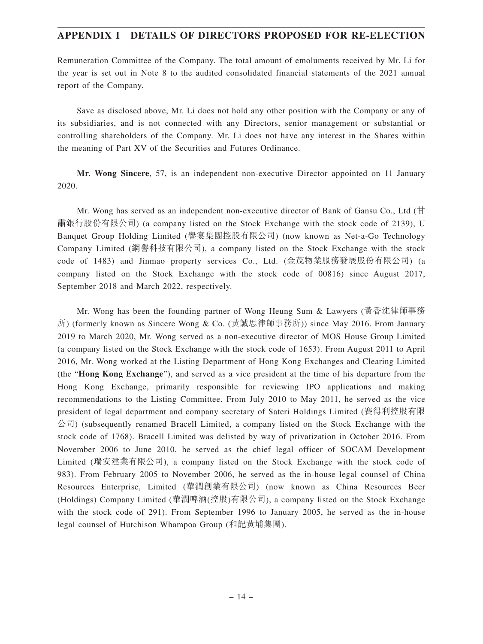Remuneration Committee of the Company. The total amount of emoluments received by Mr. Li for the year is set out in Note 8 to the audited consolidated financial statements of the 2021 annual report of the Company.

Save as disclosed above, Mr. Li does not hold any other position with the Company or any of its subsidiaries, and is not connected with any Directors, senior management or substantial or controlling shareholders of the Company. Mr. Li does not have any interest in the Shares within the meaning of Part XV of the Securities and Futures Ordinance.

**Mr. Wong Sincere**, 57, is an independent non-executive Director appointed on 11 January 2020.

Mr. Wong has served as an independent non-executive director of Bank of Gansu Co., Ltd (甘 肅銀行股份有限公司) (a company listed on the Stock Exchange with the stock code of 2139), U Banquet Group Holding Limited (譽宴集團控股有限公司) (now known as Net-a-Go Technology Company Limited (網譽科技有限公司), a company listed on the Stock Exchange with the stock code of 1483) and Jinmao property services Co., Ltd. (金茂物業服務發展股份有限公司) (a company listed on the Stock Exchange with the stock code of 00816) since August 2017, September 2018 and March 2022, respectively.

Mr. Wong has been the founding partner of Wong Heung Sum & Lawyers (黃香沈律師事務 所) (formerly known as Sincere Wong & Co. (黃誠思律師事務所)) since May 2016. From January 2019 to March 2020, Mr. Wong served as a non-executive director of MOS House Group Limited (a company listed on the Stock Exchange with the stock code of 1653). From August 2011 to April 2016, Mr. Wong worked at the Listing Department of Hong Kong Exchanges and Clearing Limited (the "**Hong Kong Exchange**"), and served as a vice president at the time of his departure from the Hong Kong Exchange, primarily responsible for reviewing IPO applications and making recommendations to the Listing Committee. From July 2010 to May 2011, he served as the vice president of legal department and company secretary of Sateri Holdings Limited (賽得利控股有限 公司) (subsequently renamed Bracell Limited, a company listed on the Stock Exchange with the stock code of 1768). Bracell Limited was delisted by way of privatization in October 2016. From November 2006 to June 2010, he served as the chief legal officer of SOCAM Development Limited (瑞安建業有限公司), a company listed on the Stock Exchange with the stock code of 983). From February 2005 to November 2006, he served as the in-house legal counsel of China Resources Enterprise, Limited (華潤創業有限公司) (now known as China Resources Beer (Holdings) Company Limited (華潤啤酒(控股)有限公司), a company listed on the Stock Exchange with the stock code of 291). From September 1996 to January 2005, he served as the in-house legal counsel of Hutchison Whampoa Group (和記黃埔集團).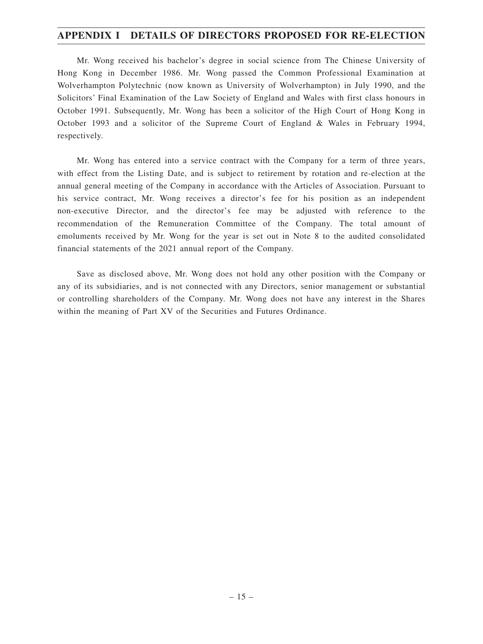Mr. Wong received his bachelor's degree in social science from The Chinese University of Hong Kong in December 1986. Mr. Wong passed the Common Professional Examination at Wolverhampton Polytechnic (now known as University of Wolverhampton) in July 1990, and the Solicitors' Final Examination of the Law Society of England and Wales with first class honours in October 1991. Subsequently, Mr. Wong has been a solicitor of the High Court of Hong Kong in October 1993 and a solicitor of the Supreme Court of England & Wales in February 1994, respectively.

Mr. Wong has entered into a service contract with the Company for a term of three years, with effect from the Listing Date, and is subject to retirement by rotation and re-election at the annual general meeting of the Company in accordance with the Articles of Association. Pursuant to his service contract, Mr. Wong receives a director's fee for his position as an independent non-executive Director, and the director's fee may be adjusted with reference to the recommendation of the Remuneration Committee of the Company. The total amount of emoluments received by Mr. Wong for the year is set out in Note 8 to the audited consolidated financial statements of the 2021 annual report of the Company.

Save as disclosed above, Mr. Wong does not hold any other position with the Company or any of its subsidiaries, and is not connected with any Directors, senior management or substantial or controlling shareholders of the Company. Mr. Wong does not have any interest in the Shares within the meaning of Part XV of the Securities and Futures Ordinance.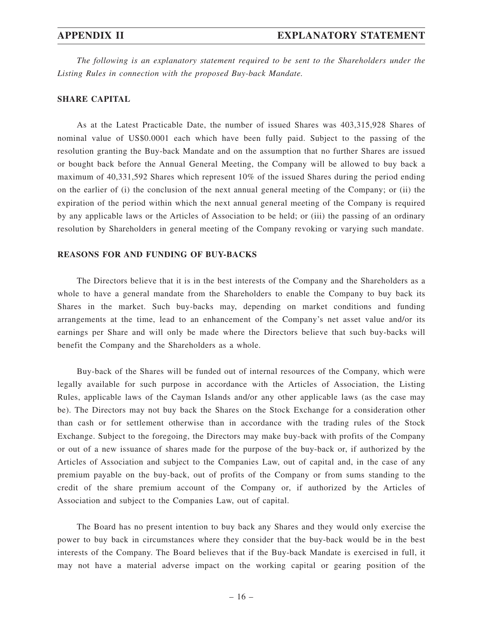*The following is an explanatory statement required to be sent to the Shareholders under the Listing Rules in connection with the proposed Buy-back Mandate.*

#### **SHARE CAPITAL**

As at the Latest Practicable Date, the number of issued Shares was 403,315,928 Shares of nominal value of US\$0.0001 each which have been fully paid. Subject to the passing of the resolution granting the Buy-back Mandate and on the assumption that no further Shares are issued or bought back before the Annual General Meeting, the Company will be allowed to buy back a maximum of 40,331,592 Shares which represent 10% of the issued Shares during the period ending on the earlier of (i) the conclusion of the next annual general meeting of the Company; or (ii) the expiration of the period within which the next annual general meeting of the Company is required by any applicable laws or the Articles of Association to be held; or (iii) the passing of an ordinary resolution by Shareholders in general meeting of the Company revoking or varying such mandate.

#### **REASONS FOR AND FUNDING OF BUY-BACKS**

The Directors believe that it is in the best interests of the Company and the Shareholders as a whole to have a general mandate from the Shareholders to enable the Company to buy back its Shares in the market. Such buy-backs may, depending on market conditions and funding arrangements at the time, lead to an enhancement of the Company's net asset value and/or its earnings per Share and will only be made where the Directors believe that such buy-backs will benefit the Company and the Shareholders as a whole.

Buy-back of the Shares will be funded out of internal resources of the Company, which were legally available for such purpose in accordance with the Articles of Association, the Listing Rules, applicable laws of the Cayman Islands and/or any other applicable laws (as the case may be). The Directors may not buy back the Shares on the Stock Exchange for a consideration other than cash or for settlement otherwise than in accordance with the trading rules of the Stock Exchange. Subject to the foregoing, the Directors may make buy-back with profits of the Company or out of a new issuance of shares made for the purpose of the buy-back or, if authorized by the Articles of Association and subject to the Companies Law, out of capital and, in the case of any premium payable on the buy-back, out of profits of the Company or from sums standing to the credit of the share premium account of the Company or, if authorized by the Articles of Association and subject to the Companies Law, out of capital.

The Board has no present intention to buy back any Shares and they would only exercise the power to buy back in circumstances where they consider that the buy-back would be in the best interests of the Company. The Board believes that if the Buy-back Mandate is exercised in full, it may not have a material adverse impact on the working capital or gearing position of the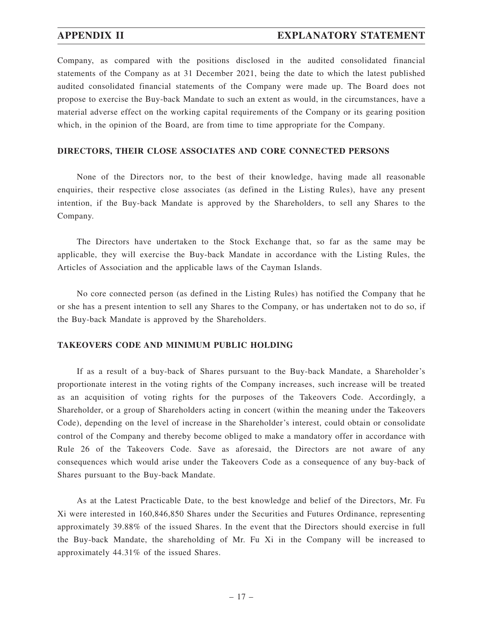## **APPENDIX II EXPLANATORY STATEMENT**

Company, as compared with the positions disclosed in the audited consolidated financial statements of the Company as at 31 December 2021, being the date to which the latest published audited consolidated financial statements of the Company were made up. The Board does not propose to exercise the Buy-back Mandate to such an extent as would, in the circumstances, have a material adverse effect on the working capital requirements of the Company or its gearing position which, in the opinion of the Board, are from time to time appropriate for the Company.

### **DIRECTORS, THEIR CLOSE ASSOCIATES AND CORE CONNECTED PERSONS**

None of the Directors nor, to the best of their knowledge, having made all reasonable enquiries, their respective close associates (as defined in the Listing Rules), have any present intention, if the Buy-back Mandate is approved by the Shareholders, to sell any Shares to the Company.

The Directors have undertaken to the Stock Exchange that, so far as the same may be applicable, they will exercise the Buy-back Mandate in accordance with the Listing Rules, the Articles of Association and the applicable laws of the Cayman Islands.

No core connected person (as defined in the Listing Rules) has notified the Company that he or she has a present intention to sell any Shares to the Company, or has undertaken not to do so, if the Buy-back Mandate is approved by the Shareholders.

#### **TAKEOVERS CODE AND MINIMUM PUBLIC HOLDING**

If as a result of a buy-back of Shares pursuant to the Buy-back Mandate, a Shareholder's proportionate interest in the voting rights of the Company increases, such increase will be treated as an acquisition of voting rights for the purposes of the Takeovers Code. Accordingly, a Shareholder, or a group of Shareholders acting in concert (within the meaning under the Takeovers Code), depending on the level of increase in the Shareholder's interest, could obtain or consolidate control of the Company and thereby become obliged to make a mandatory offer in accordance with Rule 26 of the Takeovers Code. Save as aforesaid, the Directors are not aware of any consequences which would arise under the Takeovers Code as a consequence of any buy-back of Shares pursuant to the Buy-back Mandate.

As at the Latest Practicable Date, to the best knowledge and belief of the Directors, Mr. Fu Xi were interested in 160,846,850 Shares under the Securities and Futures Ordinance, representing approximately 39.88% of the issued Shares. In the event that the Directors should exercise in full the Buy-back Mandate, the shareholding of Mr. Fu Xi in the Company will be increased to approximately 44.31% of the issued Shares.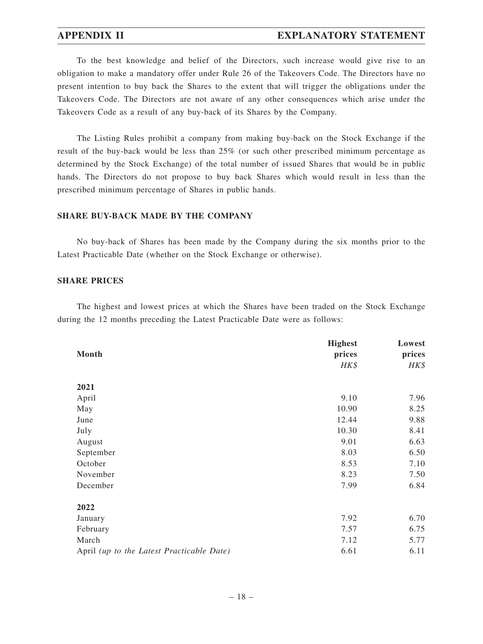#### **APPENDIX II EXPLANATORY STATEMENT**

To the best knowledge and belief of the Directors, such increase would give rise to an obligation to make a mandatory offer under Rule 26 of the Takeovers Code. The Directors have no present intention to buy back the Shares to the extent that will trigger the obligations under the Takeovers Code. The Directors are not aware of any other consequences which arise under the Takeovers Code as a result of any buy-back of its Shares by the Company.

The Listing Rules prohibit a company from making buy-back on the Stock Exchange if the result of the buy-back would be less than 25% (or such other prescribed minimum percentage as determined by the Stock Exchange) of the total number of issued Shares that would be in public hands. The Directors do not propose to buy back Shares which would result in less than the prescribed minimum percentage of Shares in public hands.

### **SHARE BUY-BACK MADE BY THE COMPANY**

No buy-back of Shares has been made by the Company during the six months prior to the Latest Practicable Date (whether on the Stock Exchange or otherwise).

#### **SHARE PRICES**

The highest and lowest prices at which the Shares have been traded on the Stock Exchange during the 12 months preceding the Latest Practicable Date were as follows:

|                                           | <b>Highest</b> | Lowest         |
|-------------------------------------------|----------------|----------------|
| Month                                     | prices<br>HK\$ | prices<br>HK\$ |
|                                           |                |                |
| 2021                                      |                |                |
| April                                     | 9.10           | 7.96           |
| May                                       | 10.90          | 8.25           |
| June                                      | 12.44          | 9.88           |
| July                                      | 10.30          | 8.41           |
| August                                    | 9.01           | 6.63           |
| September                                 | 8.03           | 6.50           |
| October                                   | 8.53           | 7.10           |
| November                                  | 8.23           | 7.50           |
| December                                  | 7.99           | 6.84           |
| 2022                                      |                |                |
| January                                   | 7.92           | 6.70           |
| February                                  | 7.57           | 6.75           |
| March                                     | 7.12           | 5.77           |
| April (up to the Latest Practicable Date) | 6.61           | 6.11           |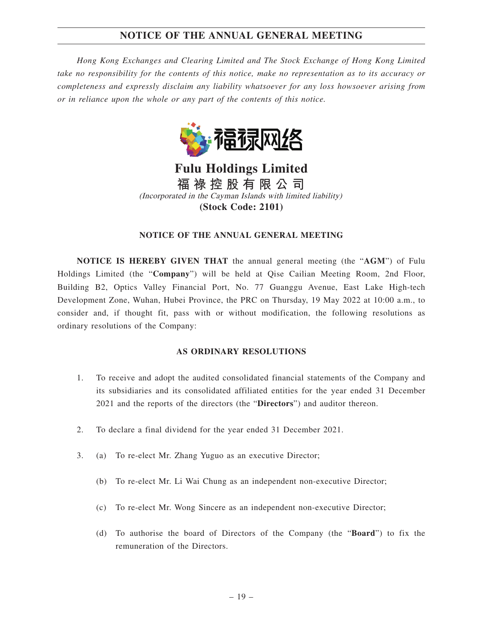*Hong Kong Exchanges and Clearing Limited and The Stock Exchange of Hong Kong Limited take no responsibility for the contents of this notice, make no representation as to its accuracy or completeness and expressly disclaim any liability whatsoever for any loss howsoever arising from or in reliance upon the whole or any part of the contents of this notice.*



**Fulu Holdings Limited 福 祿 控 股 有 限 公 司** (Incorporated in the Cayman Islands with limited liability) **(Stock Code: 2101)**

#### **NOTICE OF THE ANNUAL GENERAL MEETING**

**NOTICE IS HEREBY GIVEN THAT** the annual general meeting (the "**AGM**") of Fulu Holdings Limited (the "**Company**") will be held at Qise Cailian Meeting Room, 2nd Floor, Building B2, Optics Valley Financial Port, No. 77 Guanggu Avenue, East Lake High-tech Development Zone, Wuhan, Hubei Province, the PRC on Thursday, 19 May 2022 at 10:00 a.m., to consider and, if thought fit, pass with or without modification, the following resolutions as ordinary resolutions of the Company:

#### **AS ORDINARY RESOLUTIONS**

- 1. To receive and adopt the audited consolidated financial statements of the Company and its subsidiaries and its consolidated affiliated entities for the year ended 31 December 2021 and the reports of the directors (the "**Directors**") and auditor thereon.
- 2. To declare a final dividend for the year ended 31 December 2021.
- 3. (a) To re-elect Mr. Zhang Yuguo as an executive Director;
	- (b) To re-elect Mr. Li Wai Chung as an independent non-executive Director;
	- (c) To re-elect Mr. Wong Sincere as an independent non-executive Director;
	- (d) To authorise the board of Directors of the Company (the "**Board**") to fix the remuneration of the Directors.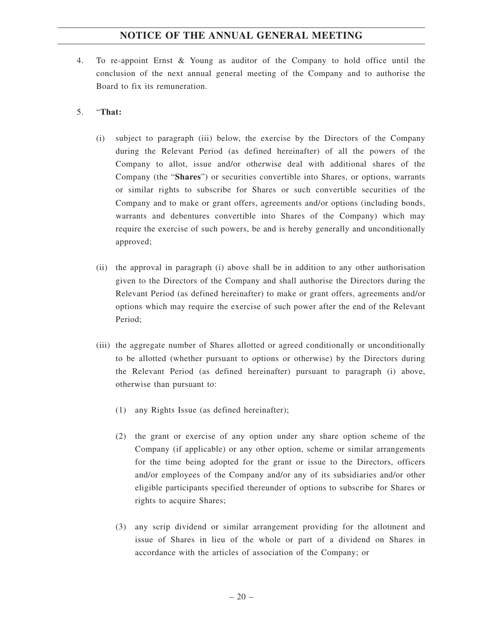- 4. To re-appoint Ernst & Young as auditor of the Company to hold office until the conclusion of the next annual general meeting of the Company and to authorise the Board to fix its remuneration.
- 5. "**That:**
	- (i) subject to paragraph (iii) below, the exercise by the Directors of the Company during the Relevant Period (as defined hereinafter) of all the powers of the Company to allot, issue and/or otherwise deal with additional shares of the Company (the "**Shares**") or securities convertible into Shares, or options, warrants or similar rights to subscribe for Shares or such convertible securities of the Company and to make or grant offers, agreements and/or options (including bonds, warrants and debentures convertible into Shares of the Company) which may require the exercise of such powers, be and is hereby generally and unconditionally approved;
	- (ii) the approval in paragraph (i) above shall be in addition to any other authorisation given to the Directors of the Company and shall authorise the Directors during the Relevant Period (as defined hereinafter) to make or grant offers, agreements and/or options which may require the exercise of such power after the end of the Relevant Period;
	- (iii) the aggregate number of Shares allotted or agreed conditionally or unconditionally to be allotted (whether pursuant to options or otherwise) by the Directors during the Relevant Period (as defined hereinafter) pursuant to paragraph (i) above, otherwise than pursuant to:
		- (1) any Rights Issue (as defined hereinafter);
		- (2) the grant or exercise of any option under any share option scheme of the Company (if applicable) or any other option, scheme or similar arrangements for the time being adopted for the grant or issue to the Directors, officers and/or employees of the Company and/or any of its subsidiaries and/or other eligible participants specified thereunder of options to subscribe for Shares or rights to acquire Shares;
		- (3) any scrip dividend or similar arrangement providing for the allotment and issue of Shares in lieu of the whole or part of a dividend on Shares in accordance with the articles of association of the Company; or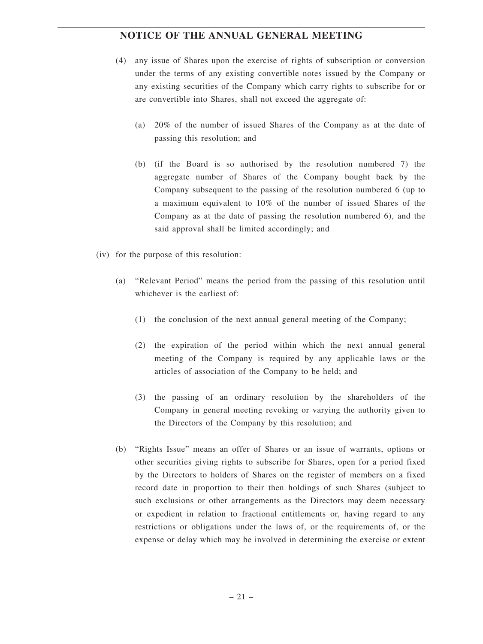- (4) any issue of Shares upon the exercise of rights of subscription or conversion under the terms of any existing convertible notes issued by the Company or any existing securities of the Company which carry rights to subscribe for or are convertible into Shares, shall not exceed the aggregate of:
	- (a) 20% of the number of issued Shares of the Company as at the date of passing this resolution; and
	- (b) (if the Board is so authorised by the resolution numbered 7) the aggregate number of Shares of the Company bought back by the Company subsequent to the passing of the resolution numbered 6 (up to a maximum equivalent to 10% of the number of issued Shares of the Company as at the date of passing the resolution numbered 6), and the said approval shall be limited accordingly; and
- (iv) for the purpose of this resolution:
	- (a) "Relevant Period" means the period from the passing of this resolution until whichever is the earliest of:
		- (1) the conclusion of the next annual general meeting of the Company;
		- (2) the expiration of the period within which the next annual general meeting of the Company is required by any applicable laws or the articles of association of the Company to be held; and
		- (3) the passing of an ordinary resolution by the shareholders of the Company in general meeting revoking or varying the authority given to the Directors of the Company by this resolution; and
	- (b) "Rights Issue" means an offer of Shares or an issue of warrants, options or other securities giving rights to subscribe for Shares, open for a period fixed by the Directors to holders of Shares on the register of members on a fixed record date in proportion to their then holdings of such Shares (subject to such exclusions or other arrangements as the Directors may deem necessary or expedient in relation to fractional entitlements or, having regard to any restrictions or obligations under the laws of, or the requirements of, or the expense or delay which may be involved in determining the exercise or extent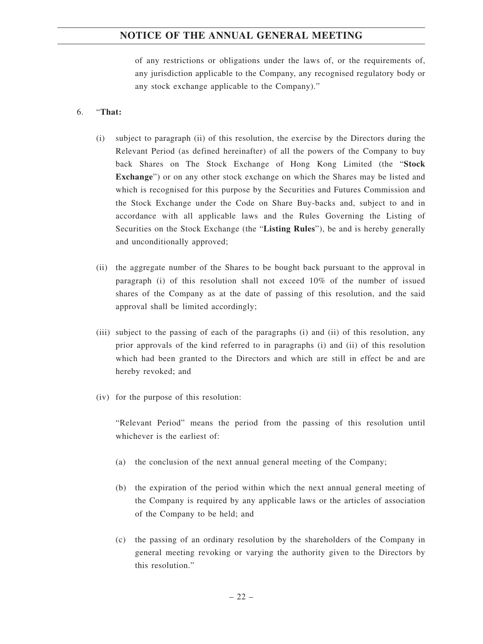of any restrictions or obligations under the laws of, or the requirements of, any jurisdiction applicable to the Company, any recognised regulatory body or any stock exchange applicable to the Company)."

#### 6. "**That:**

- (i) subject to paragraph (ii) of this resolution, the exercise by the Directors during the Relevant Period (as defined hereinafter) of all the powers of the Company to buy back Shares on The Stock Exchange of Hong Kong Limited (the "**Stock Exchange**") or on any other stock exchange on which the Shares may be listed and which is recognised for this purpose by the Securities and Futures Commission and the Stock Exchange under the Code on Share Buy-backs and, subject to and in accordance with all applicable laws and the Rules Governing the Listing of Securities on the Stock Exchange (the "**Listing Rules**"), be and is hereby generally and unconditionally approved;
- (ii) the aggregate number of the Shares to be bought back pursuant to the approval in paragraph (i) of this resolution shall not exceed 10% of the number of issued shares of the Company as at the date of passing of this resolution, and the said approval shall be limited accordingly;
- (iii) subject to the passing of each of the paragraphs (i) and (ii) of this resolution, any prior approvals of the kind referred to in paragraphs (i) and (ii) of this resolution which had been granted to the Directors and which are still in effect be and are hereby revoked; and
- (iv) for the purpose of this resolution:

"Relevant Period" means the period from the passing of this resolution until whichever is the earliest of:

- (a) the conclusion of the next annual general meeting of the Company;
- (b) the expiration of the period within which the next annual general meeting of the Company is required by any applicable laws or the articles of association of the Company to be held; and
- (c) the passing of an ordinary resolution by the shareholders of the Company in general meeting revoking or varying the authority given to the Directors by this resolution."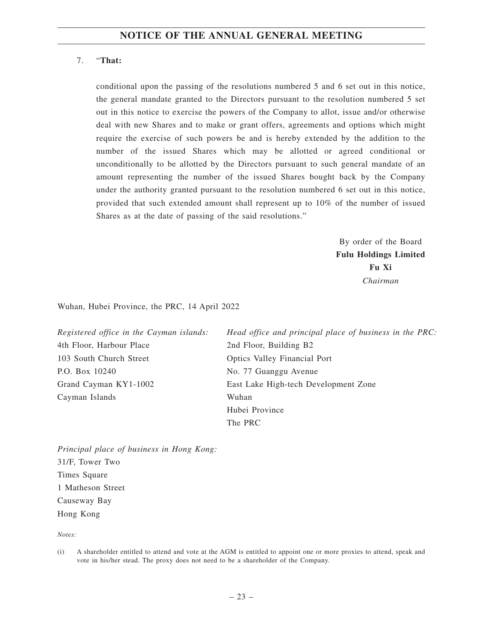## 7. "**That:**

conditional upon the passing of the resolutions numbered 5 and 6 set out in this notice, the general mandate granted to the Directors pursuant to the resolution numbered 5 set out in this notice to exercise the powers of the Company to allot, issue and/or otherwise deal with new Shares and to make or grant offers, agreements and options which might require the exercise of such powers be and is hereby extended by the addition to the number of the issued Shares which may be allotted or agreed conditional or unconditionally to be allotted by the Directors pursuant to such general mandate of an amount representing the number of the issued Shares bought back by the Company under the authority granted pursuant to the resolution numbered 6 set out in this notice, provided that such extended amount shall represent up to 10% of the number of issued Shares as at the date of passing of the said resolutions."

> By order of the Board **Fulu Holdings Limited Fu Xi** *Chairman*

Wuhan, Hubei Province, the PRC, 14 April 2022

| Registered office in the Cayman islands: | Head office and principal place of business in the PRC: |
|------------------------------------------|---------------------------------------------------------|
| 4th Floor, Harbour Place                 | 2nd Floor, Building B2                                  |
| 103 South Church Street                  | Optics Valley Financial Port                            |
| P.O. Box 10240                           | No. 77 Guanggu Avenue                                   |
| Grand Cayman KY1-1002                    | East Lake High-tech Development Zone                    |
| Cayman Islands                           | Wuhan                                                   |
|                                          | Hubei Province                                          |
|                                          | The PRC                                                 |

*Principal place of business in Hong Kong:* 31/F, Tower Two Times Square 1 Matheson Street Causeway Bay Hong Kong

*Notes:*

<sup>(</sup>i) A shareholder entitled to attend and vote at the AGM is entitled to appoint one or more proxies to attend, speak and vote in his/her stead. The proxy does not need to be a shareholder of the Company.